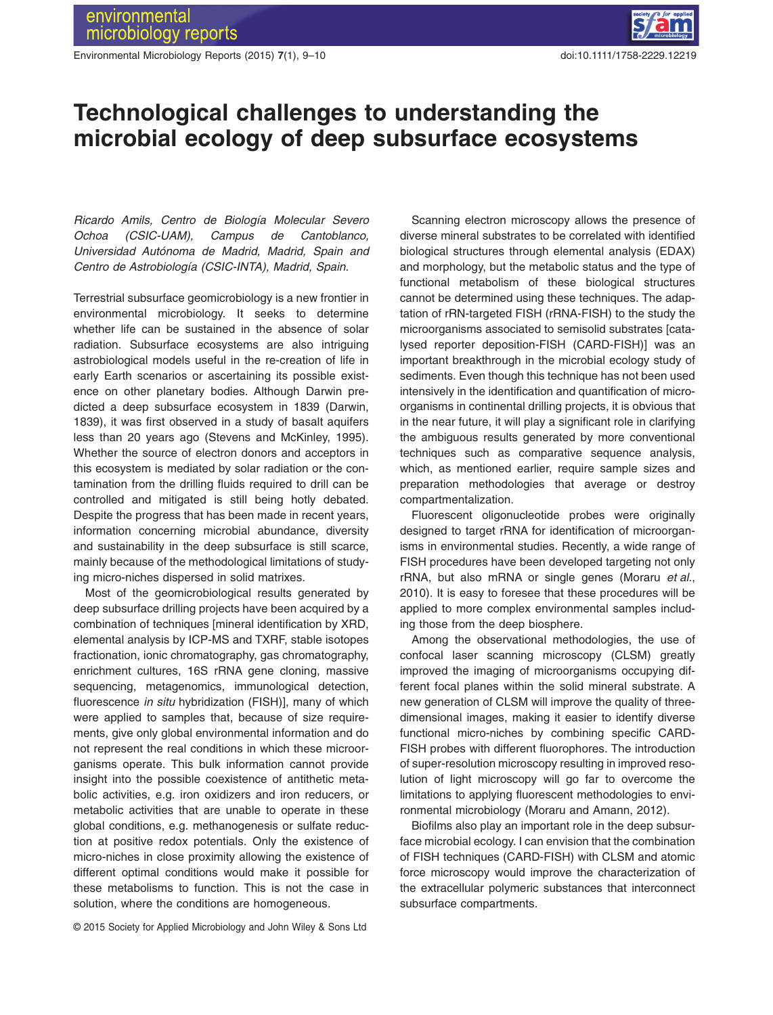Environmental Microbiology Reports (2015) **7**(1), 9–10 doi:10.1111/1758-2229.12219

## **Technological challenges to understanding the microbial ecology of deep subsurface ecosystems**

*Ricardo Amils, Centro de Biología Molecular Severo Ochoa (CSIC-UAM), Campus de Cantoblanco, Universidad Autónoma de Madrid, Madrid, Spain and Centro de Astrobiología (CSIC-INTA), Madrid, Spain*.

Terrestrial subsurface geomicrobiology is a new frontier in environmental microbiology. It seeks to determine whether life can be sustained in the absence of solar radiation. Subsurface ecosystems are also intriguing astrobiological models useful in the re-creation of life in early Earth scenarios or ascertaining its possible existence on other planetary bodies. Although Darwin predicted a deep subsurface ecosystem in 1839 (Darwin, 1839), it was first observed in a study of basalt aquifers less than 20 years ago (Stevens and McKinley, 1995). Whether the source of electron donors and acceptors in this ecosystem is mediated by solar radiation or the contamination from the drilling fluids required to drill can be controlled and mitigated is still being hotly debated. Despite the progress that has been made in recent years, information concerning microbial abundance, diversity and sustainability in the deep subsurface is still scarce, mainly because of the methodological limitations of studying micro-niches dispersed in solid matrixes.

Most of the geomicrobiological results generated by deep subsurface drilling projects have been acquired by a combination of techniques [mineral identification by XRD, elemental analysis by ICP-MS and TXRF, stable isotopes fractionation, ionic chromatography, gas chromatography, enrichment cultures, 16S rRNA gene cloning, massive sequencing, metagenomics, immunological detection, fluorescence *in situ* hybridization (FISH)], many of which were applied to samples that, because of size requirements, give only global environmental information and do not represent the real conditions in which these microorganisms operate. This bulk information cannot provide insight into the possible coexistence of antithetic metabolic activities, e.g. iron oxidizers and iron reducers, or metabolic activities that are unable to operate in these global conditions, e.g. methanogenesis or sulfate reduction at positive redox potentials. Only the existence of micro-niches in close proximity allowing the existence of different optimal conditions would make it possible for these metabolisms to function. This is not the case in solution, where the conditions are homogeneous.

Scanning electron microscopy allows the presence of diverse mineral substrates to be correlated with identified biological structures through elemental analysis (EDAX) and morphology, but the metabolic status and the type of functional metabolism of these biological structures cannot be determined using these techniques. The adaptation of rRN-targeted FISH (rRNA-FISH) to the study the microorganisms associated to semisolid substrates [catalysed reporter deposition-FISH (CARD-FISH)] was an important breakthrough in the microbial ecology study of sediments. Even though this technique has not been used intensively in the identification and quantification of microorganisms in continental drilling projects, it is obvious that in the near future, it will play a significant role in clarifying the ambiguous results generated by more conventional techniques such as comparative sequence analysis, which, as mentioned earlier, require sample sizes and preparation methodologies that average or destroy compartmentalization.

Fluorescent oligonucleotide probes were originally designed to target rRNA for identification of microorganisms in environmental studies. Recently, a wide range of FISH procedures have been developed targeting not only rRNA, but also mRNA or single genes (Moraru *et al*., 2010). It is easy to foresee that these procedures will be applied to more complex environmental samples including those from the deep biosphere.

Among the observational methodologies, the use of confocal laser scanning microscopy (CLSM) greatly improved the imaging of microorganisms occupying different focal planes within the solid mineral substrate. A new generation of CLSM will improve the quality of threedimensional images, making it easier to identify diverse functional micro-niches by combining specific CARD-FISH probes with different fluorophores. The introduction of super-resolution microscopy resulting in improved resolution of light microscopy will go far to overcome the limitations to applying fluorescent methodologies to environmental microbiology (Moraru and Amann, 2012).

Biofilms also play an important role in the deep subsurface microbial ecology. I can envision that the combination of FISH techniques (CARD-FISH) with CLSM and atomic force microscopy would improve the characterization of the extracellular polymeric substances that interconnect subsurface compartments.